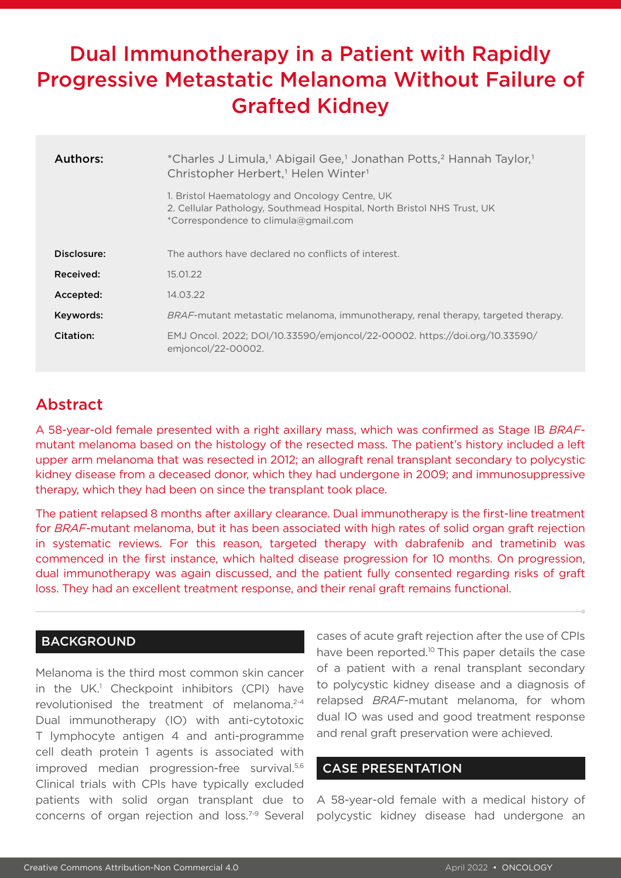# Dual Immunotherapy in a Patient with Rapidly Progressive Metastatic Melanoma Without Failure of Grafted Kidney

| Authors:    | *Charles J Limula, <sup>1</sup> Abigail Gee, <sup>1</sup> Jonathan Potts, <sup>2</sup> Hannah Taylor, <sup>1</sup><br>Christopher Herbert, <sup>1</sup> Helen Winter <sup>1</sup> |
|-------------|-----------------------------------------------------------------------------------------------------------------------------------------------------------------------------------|
|             | 1. Bristol Haematology and Oncology Centre, UK<br>2. Cellular Pathology, Southmead Hospital, North Bristol NHS Trust, UK<br>*Correspondence to climula@gmail.com                  |
| Disclosure: | The authors have declared no conflicts of interest.                                                                                                                               |
| Received:   | 15.01.22                                                                                                                                                                          |
| Accepted:   | 14.03.22                                                                                                                                                                          |
| Keywords:   | <i>BRAF</i> -mutant metastatic melanoma, immunotherapy, renal therapy, targeted therapy.                                                                                          |
| Citation:   | EMJ Oncol. 2022; DOI/10.33590/emjoncol/22-00002. https://doi.org/10.33590/<br>emioncol/22-00002.                                                                                  |

## Abstract

A 58-year-old female presented with a right axillary mass, which was confirmed as Stage IB *BRAF*mutant melanoma based on the histology of the resected mass. The patient's history included a left upper arm melanoma that was resected in 2012; an allograft renal transplant secondary to polycystic kidney disease from a deceased donor, which they had undergone in 2009; and immunosuppressive therapy, which they had been on since the transplant took place.

The patient relapsed 8 months after axillary clearance. Dual immunotherapy is the first-line treatment for *BRAF*-mutant melanoma, but it has been associated with high rates of solid organ graft rejection in systematic reviews. For this reason, targeted therapy with dabrafenib and trametinib was commenced in the first instance, which halted disease progression for 10 months. On progression, dual immunotherapy was again discussed, and the patient fully consented regarding risks of graft loss. They had an excellent treatment response, and their renal graft remains functional.

## **BACKGROUND**

Melanoma is the third most common skin cancer in the UK.<sup>1</sup> Checkpoint inhibitors (CPI) have revolutionised the treatment of melanoma.2-4 Dual immunotherapy (IO) with anti-cytotoxic T lymphocyte antigen 4 and anti-programme cell death protein 1 agents is associated with improved median progression-free survival.<sup>5,6</sup> Clinical trials with CPIs have typically excluded patients with solid organ transplant due to concerns of organ rejection and loss.7-9 Several

cases of acute graft rejection after the use of CPIs have been reported.<sup>10</sup> This paper details the case of a patient with a renal transplant secondary to polycystic kidney disease and a diagnosis of relapsed *BRAF*-mutant melanoma, for whom dual IO was used and good treatment response and renal graft preservation were achieved.

#### CASE PRESENTATION

A 58-year-old female with a medical history of polycystic kidney disease had undergone an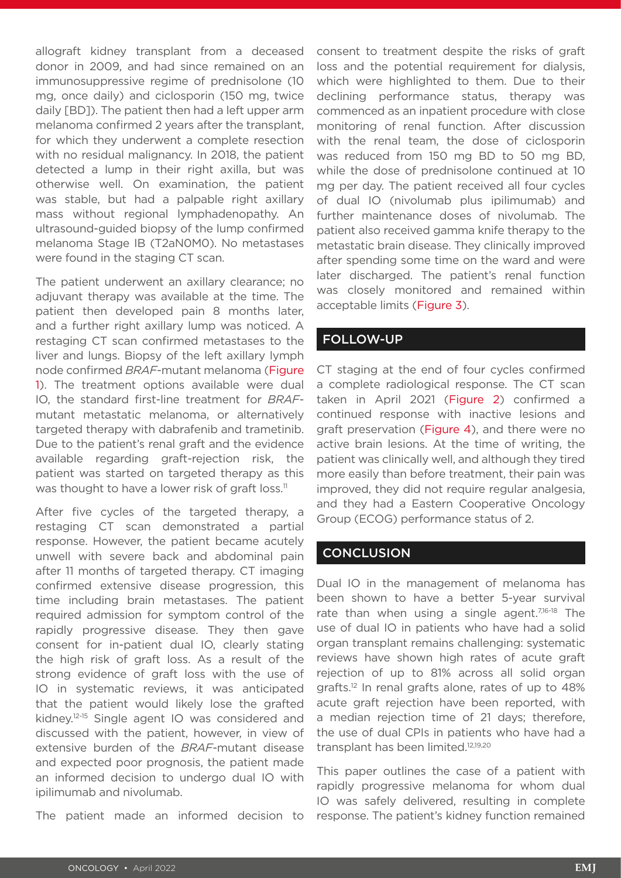allograft kidney transplant from a deceased donor in 2009, and had since remained on an immunosuppressive regime of prednisolone (10 mg, once daily) and ciclosporin (150 mg, twice daily [BD]). The patient then had a left upper arm melanoma confirmed 2 years after the transplant, for which they underwent a complete resection with no residual malignancy. In 2018, the patient detected a lump in their right axilla, but was otherwise well. On examination, the patient was stable, but had a palpable right axillary mass without regional lymphadenopathy. An ultrasound-guided biopsy of the lump confirmed melanoma Stage IB (T2aN0M0). No metastases were found in the staging CT scan.

The patient underwent an axillary clearance; no adjuvant therapy was available at the time. The patient then developed pain 8 months later, and a further right axillary lump was noticed. A restaging CT scan confirmed metastases to the liver and lungs. Biopsy of the left axillary lymph node confirmed *BRAF*-mutant melanoma (Figure 1). The treatment options available were dual IO, the standard first-line treatment for *BRAF*mutant metastatic melanoma, or alternatively targeted therapy with dabrafenib and trametinib. Due to the patient's renal graft and the evidence available regarding graft-rejection risk, the patient was started on targeted therapy as this was thought to have a lower risk of graft loss.<sup>11</sup>

After five cycles of the targeted therapy, a restaging CT scan demonstrated a partial response. However, the patient became acutely unwell with severe back and abdominal pain after 11 months of targeted therapy. CT imaging confirmed extensive disease progression, this time including brain metastases. The patient required admission for symptom control of the rapidly progressive disease. They then gave consent for in-patient dual IO, clearly stating the high risk of graft loss. As a result of the strong evidence of graft loss with the use of IO in systematic reviews, it was anticipated that the patient would likely lose the grafted kidney.12-15 Single agent IO was considered and discussed with the patient, however, in view of extensive burden of the *BRAF*-mutant disease and expected poor prognosis, the patient made an informed decision to undergo dual IO with ipilimumab and nivolumab.

The patient made an informed decision to

consent to treatment despite the risks of graft loss and the potential requirement for dialysis, which were highlighted to them. Due to their declining performance status, therapy was commenced as an inpatient procedure with close monitoring of renal function. After discussion with the renal team, the dose of ciclosporin was reduced from 150 mg BD to 50 mg BD, while the dose of prednisolone continued at 10 mg per day. The patient received all four cycles of dual IO (nivolumab plus ipilimumab) and further maintenance doses of nivolumab. The patient also received gamma knife therapy to the metastatic brain disease. They clinically improved after spending some time on the ward and were later discharged. The patient's renal function was closely monitored and remained within acceptable limits (Figure 3).

### FOLLOW-UP

CT staging at the end of four cycles confirmed a complete radiological response. The CT scan taken in April 2021 (Figure 2) confirmed a continued response with inactive lesions and graft preservation (Figure 4), and there were no active brain lesions. At the time of writing, the patient was clinically well, and although they tired more easily than before treatment, their pain was improved, they did not require regular analgesia, and they had a Eastern Cooperative Oncology Group (ECOG) performance status of 2.

## **CONCLUSION**

Dual IO in the management of melanoma has been shown to have a better 5-year survival rate than when using a single agent.<sup>7,16-18</sup> The use of dual IO in patients who have had a solid organ transplant remains challenging: systematic reviews have shown high rates of acute graft rejection of up to 81% across all solid organ grafts.12 In renal grafts alone, rates of up to 48% acute graft rejection have been reported, with a median rejection time of 21 days; therefore, the use of dual CPIs in patients who have had a transplant has been limited.<sup>12,19,20</sup>

This paper outlines the case of a patient with rapidly progressive melanoma for whom dual IO was safely delivered, resulting in complete response. The patient's kidney function remained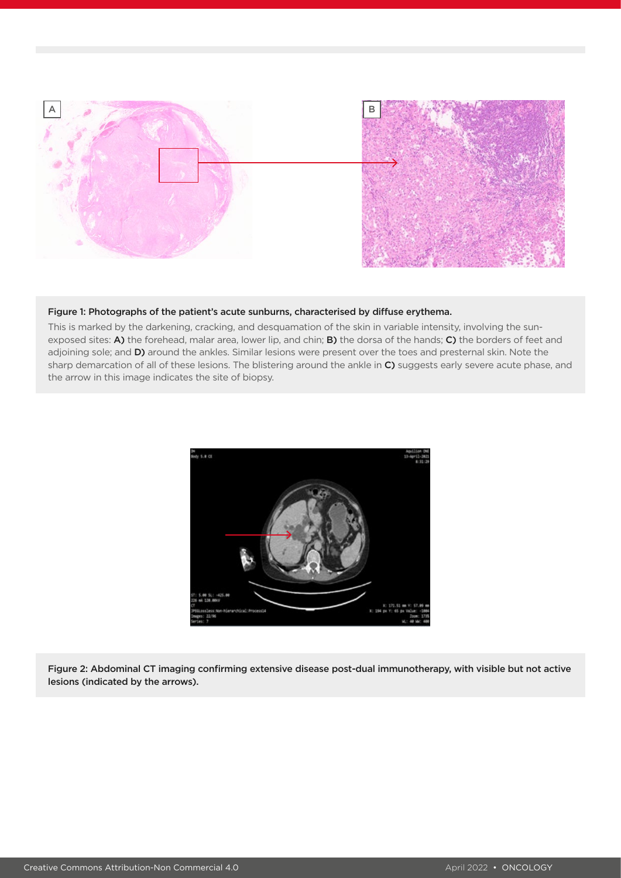

#### Figure 1: Photographs of the patient's acute sunburns, characterised by diffuse erythema.

This is marked by the darkening, cracking, and desquamation of the skin in variable intensity, involving the sunexposed sites: A) the forehead, malar area, lower lip, and chin; B) the dorsa of the hands; C) the borders of feet and adjoining sole; and D) around the ankles. Similar lesions were present over the toes and presternal skin. Note the sharp demarcation of all of these lesions. The blistering around the ankle in  $C$ ) suggests early severe acute phase, and the arrow in this image indicates the site of biopsy.



Figure 2: Abdominal CT imaging confirming extensive disease post-dual immunotherapy, with visible but not active lesions (indicated by the arrows).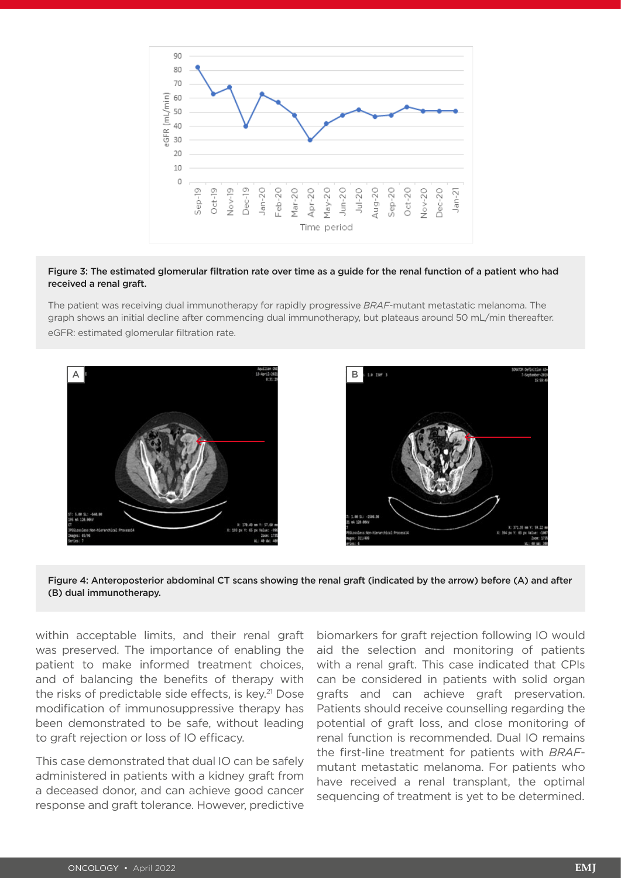

#### Figure 3: The estimated glomerular filtration rate over time as a guide for the renal function of a patient who had received a renal graft.

The patient was receiving dual immunotherapy for rapidly progressive *BRAF*-mutant metastatic melanoma. The graph shows an initial decline after commencing dual immunotherapy, but plateaus around 50 mL/min thereafter. eGFR: estimated glomerular filtration rate.





within acceptable limits, and their renal graft was preserved. The importance of enabling the patient to make informed treatment choices, and of balancing the benefits of therapy with the risks of predictable side effects, is key.<sup>21</sup> Dose modification of immunosuppressive therapy has been demonstrated to be safe, without leading to graft rejection or loss of IO efficacy.

This case demonstrated that dual IO can be safely administered in patients with a kidney graft from a deceased donor, and can achieve good cancer response and graft tolerance. However, predictive

biomarkers for graft rejection following IO would aid the selection and monitoring of patients with a renal graft. This case indicated that CPIs can be considered in patients with solid organ grafts and can achieve graft preservation. Patients should receive counselling regarding the potential of graft loss, and close monitoring of renal function is recommended. Dual IO remains the first-line treatment for patients with *BRAF*mutant metastatic melanoma. For patients who have received a renal transplant, the optimal sequencing of treatment is yet to be determined.